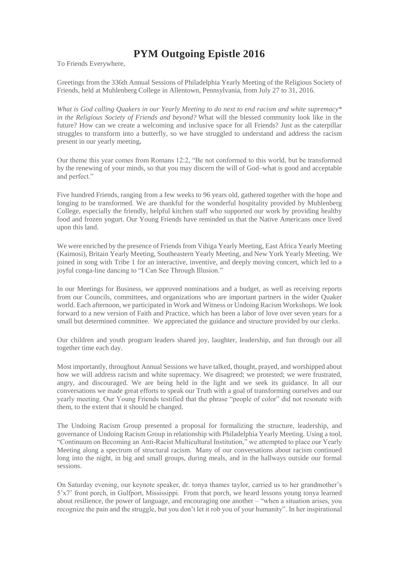## **PYM Outgoing Epistle 2016**

To Friends Everywhere,

Greetings from the 336th Annual Sessions of Philadelphia Yearly Meeting of the Religious Society of Friends, held at Muhlenberg College in Allentown, Pennsylvania, from July 27 to 31, 2016.

*What is God calling Quakers in our Yearly Meeting to do next to end racism and white supremacy\* in the Religious Society of Friends and beyond?* What will the blessed community look like in the future? How can we create a welcoming and inclusive space for all Friends? Just as the caterpillar struggles to transform into a butterfly, so we have struggled to understand and address the racism present in our yearly meeting**.**

Our theme this year comes from Romans 12:2, "Be not conformed to this world, but be transformed by the renewing of your minds, so that you may discern the will of God–what is good and acceptable and perfect."

Five hundred Friends, ranging from a few weeks to 96 years old, gathered together with the hope and longing to be transformed. We are thankful for the wonderful hospitality provided by Muhlenberg College, especially the friendly, helpful kitchen staff who supported our work by providing healthy food and frozen yogurt. Our Young Friends have reminded us that the Native Americans once lived upon this land.

We were enriched by the presence of Friends from Vihiga Yearly Meeting, East Africa Yearly Meeting (Kaimosi), Britain Yearly Meeting, Southeastern Yearly Meeting, and New York Yearly Meeting. We joined in song with Tribe 1 for an interactive, inventive, and deeply moving concert, which led to a joyful conga-line dancing to "I Can See Through Illusion."

In our Meetings for Business, we approved nominations and a budget, as well as receiving reports from our Councils, committees, and organizations who are important partners in the wider Quaker world. Each afternoon, we participated in Work and Witness or Undoing Racism Workshops. We look forward to a new version of Faith and Practice, which has been a labor of love over seven years for a small but determined committee. We appreciated the guidance and structure provided by our clerks.

Our children and youth program leaders shared joy, laughter, leadership, and fun through our all together time each day.

Most importantly, throughout Annual Sessions we have talked, thought, prayed, and worshipped about how we will address racism and white supremacy. We disagreed; we protested; we were frustrated, angry, and discouraged. We are being held in the light and we seek its guidance. In all our conversations we made great efforts to speak our Truth with a goal of transforming ourselves and our yearly meeting. Our Young Friends testified that the phrase "people of color" did not resonate with them, to the extent that it should be changed.

The Undoing Racism Group presented a proposal for formalizing the structure, leadership, and governance of Undoing Racism Group in relationship with Philadelphia Yearly Meeting. Using a tool, "Continuum on Becoming an Anti-Racist Multicultural Institution," we attempted to place our Yearly Meeting along a spectrum of structural racism. Many of our conversations about racism continued long into the night, in big and small groups, during meals, and in the hallways outside our formal sessions.

On Saturday evening, our keynote speaker, dr. tonya thames taylor, carried us to her grandmother's 5'x7' front porch, in Gulfport, Mississippi. From that porch, we heard lessons young tonya learned about resilience, the power of language, and encouraging one another – "when a situation arises, you recognize the pain and the struggle, but you don't let it rob you of your humanity". In her inspirational